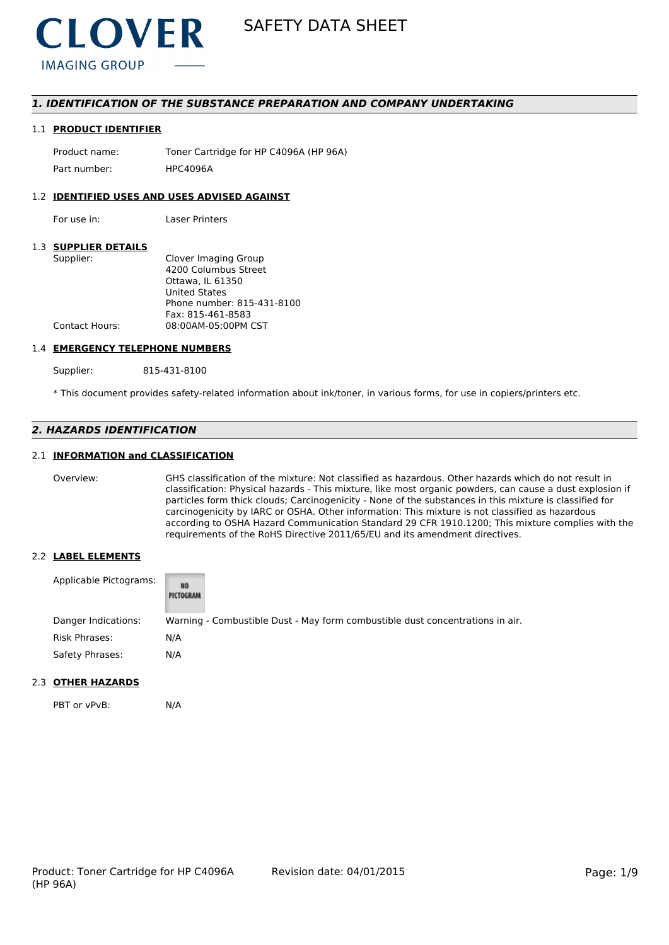

# *1. IDENTIFICATION OF THE SUBSTANCE PREPARATION AND COMPANY UNDERTAKING*

#### 1.1 **PRODUCT IDENTIFIER**

Product name: Toner Cartridge for HP C4096A (HP 96A) Part number: HPC4096A

### 1.2 **IDENTIFIED USES AND USES ADVISED AGAINST**

For use in: Laser Printers

# 1.3 **SUPPLIER DETAILS**

| Supplier:             | Clover Imaging Group       |
|-----------------------|----------------------------|
|                       | 4200 Columbus Street       |
|                       | Ottawa. IL 61350           |
|                       | <b>United States</b>       |
|                       | Phone number: 815-431-8100 |
|                       | Fax: 815-461-8583          |
| <b>Contact Hours:</b> | 08:00AM-05:00PM CST        |
|                       |                            |

#### 1.4 **EMERGENCY TELEPHONE NUMBERS**

Supplier: 815-431-8100

\* This document provides safety-related information about ink/toner, in various forms, for use in copiers/printers etc.

# *2. HAZARDS IDENTIFICATION*

# 2.1 **INFORMATION and CLASSIFICATION**

Overview: GHS classification of the mixture: Not classified as hazardous. Other hazards which do not result in classification: Physical hazards - This mixture, like most organic powders, can cause a dust explosion if particles form thick clouds; Carcinogenicity - None of the substances in this mixture is classified for carcinogenicity by IARC or OSHA. Other information: This mixture is not classified as hazardous according to OSHA Hazard Communication Standard 29 CFR 1910.1200; This mixture complies with the requirements of the RoHS Directive 2011/65/EU and its amendment directives.

# 2.2 **LABEL ELEMENTS**

| Applicable Pictograms: | NO<br>PICTOGRAM                                                               |
|------------------------|-------------------------------------------------------------------------------|
| Danger Indications:    | Warning - Combustible Dust - May form combustible dust concentrations in air. |
| Risk Phrases:          | N/A                                                                           |
| Safety Phrases:        | N/A                                                                           |

### 2.3 **OTHER HAZARDS**

PBT or vPvB: N/A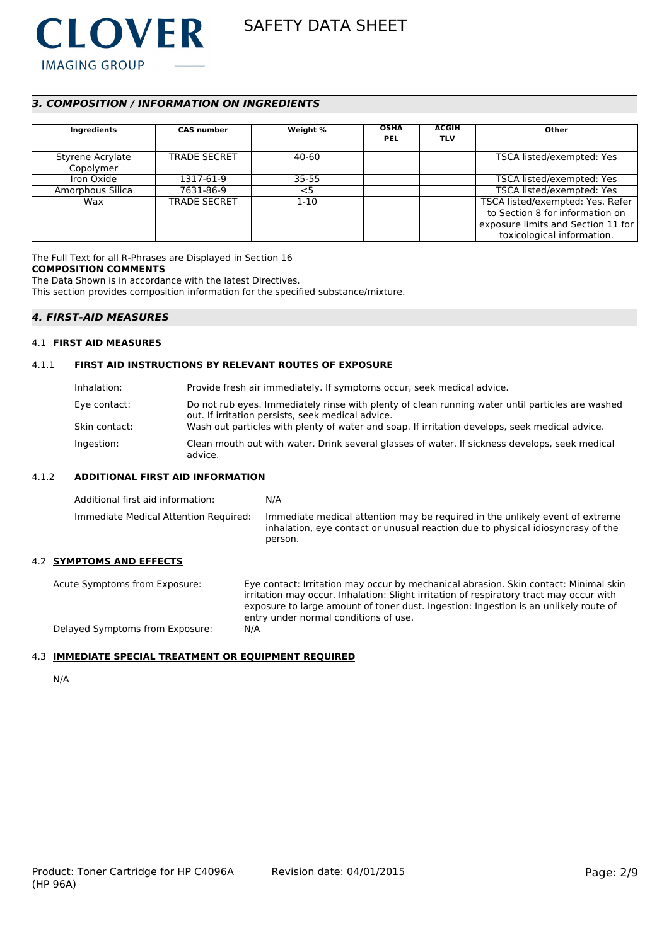

# *3. COMPOSITION / INFORMATION ON INGREDIENTS*

| Ingredients                   | <b>CAS number</b>   | Weight %  | <b>OSHA</b><br><b>PEL</b> | <b>ACGIH</b><br><b>TLV</b> | Other                                                                                                                                   |
|-------------------------------|---------------------|-----------|---------------------------|----------------------------|-----------------------------------------------------------------------------------------------------------------------------------------|
| Styrene Acrylate<br>Copolymer | <b>TRADE SECRET</b> | 40-60     |                           |                            | TSCA listed/exempted: Yes                                                                                                               |
| Iron Oxide                    | 1317-61-9           | $35 - 55$ |                           |                            | TSCA listed/exempted: Yes                                                                                                               |
| Amorphous Silica              | 7631-86-9           | $<$ 5     |                           |                            | TSCA listed/exempted: Yes                                                                                                               |
| Wax                           | <b>TRADE SECRET</b> | $1 - 10$  |                           |                            | TSCA listed/exempted: Yes. Refer<br>to Section 8 for information on<br>exposure limits and Section 11 for<br>toxicological information. |

The Full Text for all R-Phrases are Displayed in Section 16 **COMPOSITION COMMENTS**

The Data Shown is in accordance with the latest Directives.

This section provides composition information for the specified substance/mixture.

# *4. FIRST-AID MEASURES*

### 4.1 **FIRST AID MEASURES**

# 4.1.1 **FIRST AID INSTRUCTIONS BY RELEVANT ROUTES OF EXPOSURE**

| Inhalation:   | Provide fresh air immediately. If symptoms occur, seek medical advice.                                                                                |
|---------------|-------------------------------------------------------------------------------------------------------------------------------------------------------|
| Eye contact:  | Do not rub eyes. Immediately rinse with plenty of clean running water until particles are washed<br>out. If irritation persists, seek medical advice. |
| Skin contact: | Wash out particles with plenty of water and soap. If irritation develops, seek medical advice.                                                        |
| Ingestion:    | Clean mouth out with water. Drink several glasses of water. If sickness develops, seek medical<br>advice.                                             |

# 4.1.2 **ADDITIONAL FIRST AID INFORMATION**

| Additional first aid information:     | N/A                                                                                                                                                                        |
|---------------------------------------|----------------------------------------------------------------------------------------------------------------------------------------------------------------------------|
| Immediate Medical Attention Required: | Immediate medical attention may be required in the unlikely event of extreme<br>inhalation, eye contact or unusual reaction due to physical idiosyncrasy of the<br>person. |

# 4.2 **SYMPTOMS AND EFFECTS**

Acute Symptoms from Exposure: Eye contact: Irritation may occur by mechanical abrasion. Skin contact: Minimal skin irritation may occur. Inhalation: Slight irritation of respiratory tract may occur with exposure to large amount of toner dust. Ingestion: Ingestion is an unlikely route of entry under normal conditions of use. Delayed Symptoms from Exposure: N/A

# 4.3 **IMMEDIATE SPECIAL TREATMENT OR EQUIPMENT REQUIRED**

N/A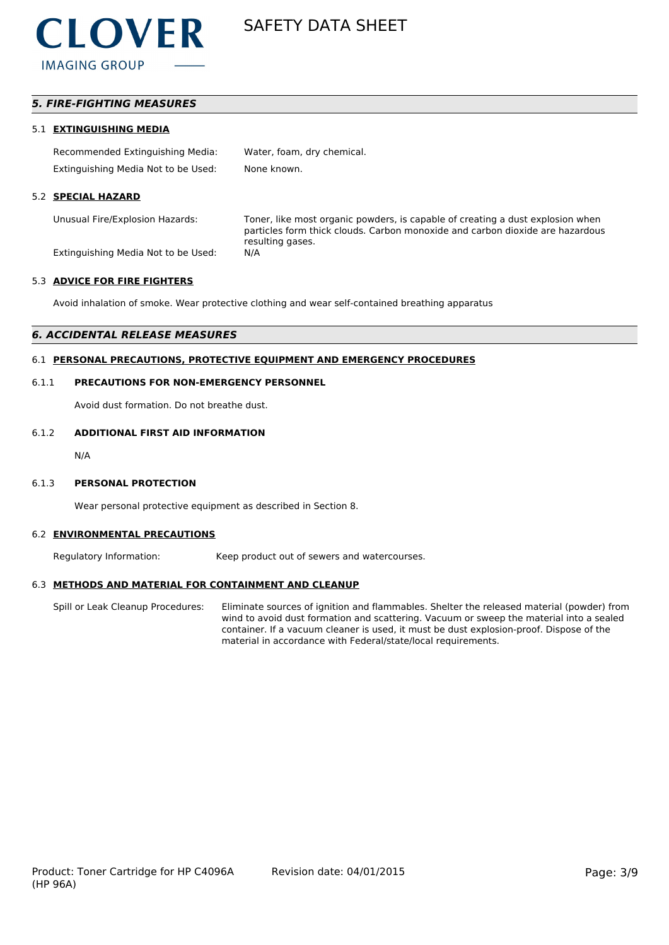

# *5. FIRE-FIGHTING MEASURES*

#### 5.1 **EXTINGUISHING MEDIA**

| Recommended Extinguishing Media:    | Water, foam, dry chemical. |
|-------------------------------------|----------------------------|
| Extinguishing Media Not to be Used: | None known.                |

### 5.2 **SPECIAL HAZARD**

Unusual Fire/Explosion Hazards: Toner, like most organic powders, is capable of creating a dust explosion when particles form thick clouds. Carbon monoxide and carbon dioxide are hazardous resulting gases.

Extinguishing Media Not to be Used: N/A

#### 5.3 **ADVICE FOR FIRE FIGHTERS**

Avoid inhalation of smoke. Wear protective clothing and wear self-contained breathing apparatus

## *6. ACCIDENTAL RELEASE MEASURES*

# 6.1 **PERSONAL PRECAUTIONS, PROTECTIVE EQUIPMENT AND EMERGENCY PROCEDURES**

#### 6.1.1 **PRECAUTIONS FOR NON-EMERGENCY PERSONNEL**

Avoid dust formation. Do not breathe dust.

#### 6.1.2 **ADDITIONAL FIRST AID INFORMATION**

N/A

#### 6.1.3 **PERSONAL PROTECTION**

Wear personal protective equipment as described in Section 8.

#### 6.2 **ENVIRONMENTAL PRECAUTIONS**

Regulatory Information: Keep product out of sewers and watercourses.

### 6.3 **METHODS AND MATERIAL FOR CONTAINMENT AND CLEANUP**

Spill or Leak Cleanup Procedures: Eliminate sources of ignition and flammables. Shelter the released material (powder) from wind to avoid dust formation and scattering. Vacuum or sweep the material into a sealed container. If a vacuum cleaner is used, it must be dust explosion-proof. Dispose of the material in accordance with Federal/state/local requirements.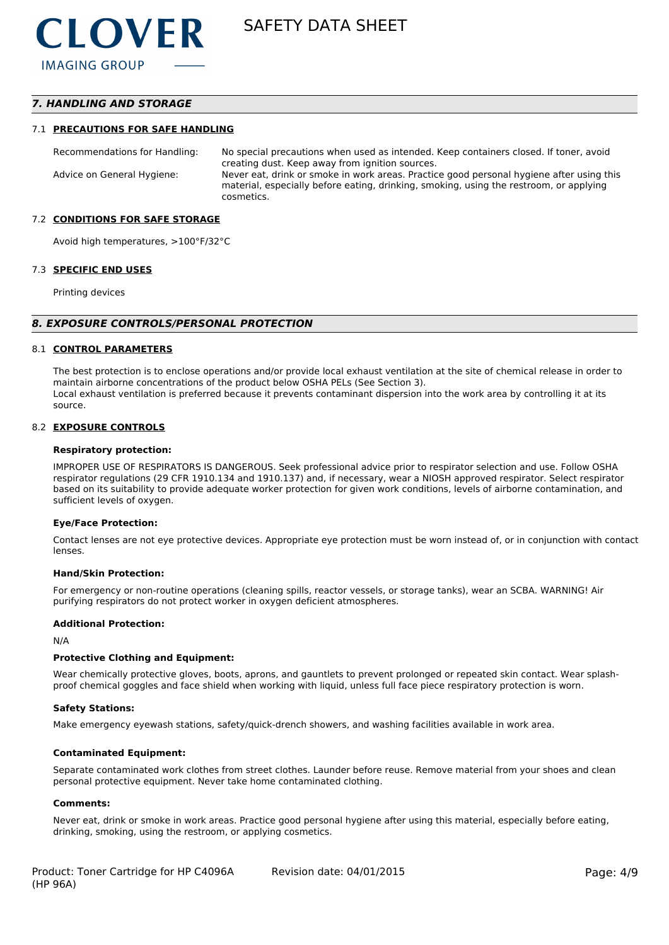# *7. HANDLING AND STORAGE*

#### 7.1 **PRECAUTIONS FOR SAFE HANDLING**

Recommendations for Handling: No special precautions when used as intended. Keep containers closed. If toner, avoid creating dust. Keep away from ignition sources. Advice on General Hygiene: Never eat, drink or smoke in work areas. Practice good personal hygiene after using this material, especially before eating, drinking, smoking, using the restroom, or applying cosmetics.

#### 7.2 **CONDITIONS FOR SAFE STORAGE**

Avoid high temperatures, >100°F/32°C

#### 7.3 **SPECIFIC END USES**

Printing devices

#### *8. EXPOSURE CONTROLS/PERSONAL PROTECTION*

#### 8.1 **CONTROL PARAMETERS**

The best protection is to enclose operations and/or provide local exhaust ventilation at the site of chemical release in order to maintain airborne concentrations of the product below OSHA PELs (See Section 3). Local exhaust ventilation is preferred because it prevents contaminant dispersion into the work area by controlling it at its source.

#### 8.2 **EXPOSURE CONTROLS**

#### **Respiratory protection:**

IMPROPER USE OF RESPIRATORS IS DANGEROUS. Seek professional advice prior to respirator selection and use. Follow OSHA respirator regulations (29 CFR 1910.134 and 1910.137) and, if necessary, wear a NIOSH approved respirator. Select respirator based on its suitability to provide adequate worker protection for given work conditions, levels of airborne contamination, and sufficient levels of oxygen.

#### **Eye/Face Protection:**

Contact lenses are not eye protective devices. Appropriate eye protection must be worn instead of, or in conjunction with contact lenses.

#### **Hand/Skin Protection:**

For emergency or non-routine operations (cleaning spills, reactor vessels, or storage tanks), wear an SCBA. WARNING! Air purifying respirators do not protect worker in oxygen deficient atmospheres.

#### **Additional Protection:**

N/A

#### **Protective Clothing and Equipment:**

Wear chemically protective gloves, boots, aprons, and gauntlets to prevent prolonged or repeated skin contact. Wear splashproof chemical goggles and face shield when working with liquid, unless full face piece respiratory protection is worn.

#### **Safety Stations:**

Make emergency eyewash stations, safety/quick-drench showers, and washing facilities available in work area.

#### **Contaminated Equipment:**

Separate contaminated work clothes from street clothes. Launder before reuse. Remove material from your shoes and clean personal protective equipment. Never take home contaminated clothing.

#### **Comments:**

Never eat, drink or smoke in work areas. Practice good personal hygiene after using this material, especially before eating, drinking, smoking, using the restroom, or applying cosmetics.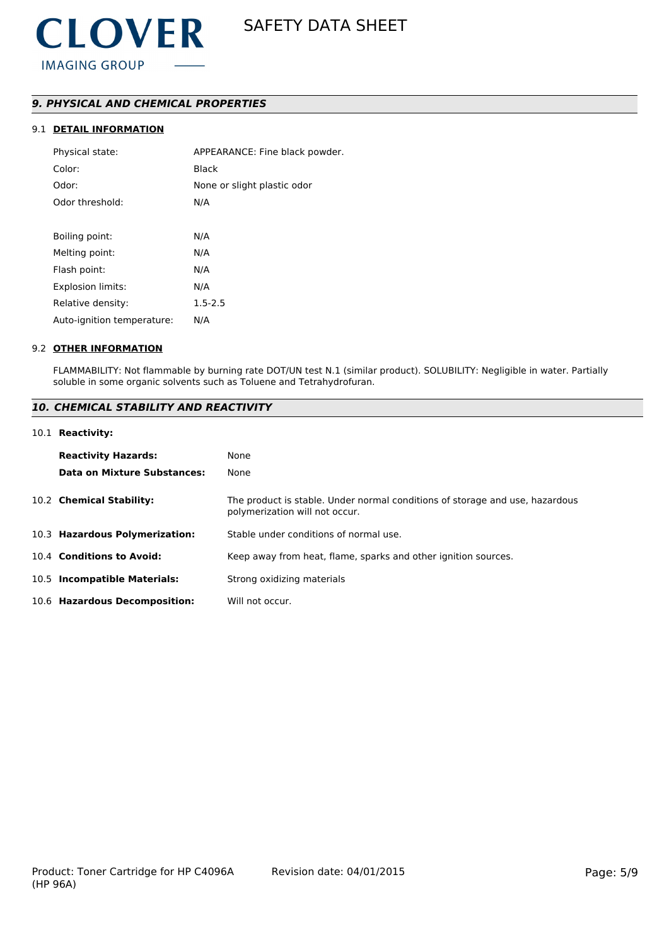# *9. PHYSICAL AND CHEMICAL PROPERTIES*

# 9.1 **DETAIL INFORMATION**

| Physical state:            | APPEARANCE: Fine black powder. |
|----------------------------|--------------------------------|
| Color:                     | Black                          |
| Odor:                      | None or slight plastic odor    |
| Odor threshold:            | N/A                            |
|                            |                                |
| Boiling point:             | N/A                            |
| Melting point:             | N/A                            |
| Flash point:               | N/A                            |
| Explosion limits:          | N/A                            |
| Relative density:          | $1.5 - 2.5$                    |
| Auto-ignition temperature: | N/A                            |
|                            |                                |

### 9.2 **OTHER INFORMATION**

FLAMMABILITY: Not flammable by burning rate DOT/UN test N.1 (similar product). SOLUBILITY: Negligible in water. Partially soluble in some organic solvents such as Toluene and Tetrahydrofuran.

# *10. CHEMICAL STABILITY AND REACTIVITY*

#### 10.1 **Reactivity:**

| <b>Reactivity Hazards:</b>     | None                                                                                                           |
|--------------------------------|----------------------------------------------------------------------------------------------------------------|
| Data on Mixture Substances:    | None                                                                                                           |
| 10.2 Chemical Stability:       | The product is stable. Under normal conditions of storage and use, hazardous<br>polymerization will not occur. |
| 10.3 Hazardous Polymerization: | Stable under conditions of normal use.                                                                         |
| 10.4 Conditions to Avoid:      | Keep away from heat, flame, sparks and other ignition sources.                                                 |
| 10.5 Incompatible Materials:   | Strong oxidizing materials                                                                                     |
| 10.6 Hazardous Decomposition:  | Will not occur.                                                                                                |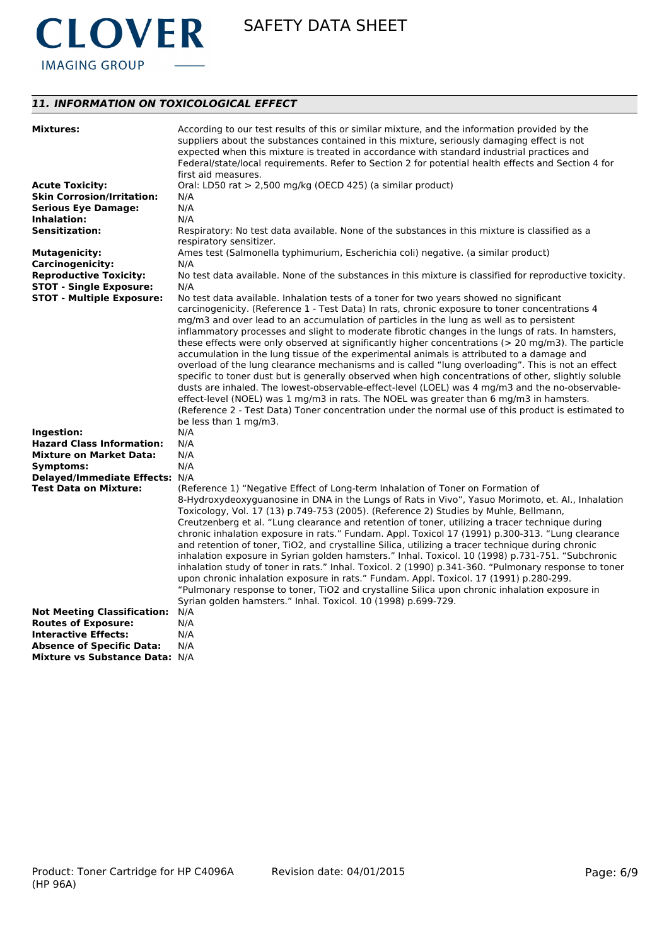

# *11. INFORMATION ON TOXICOLOGICAL EFFECT*

| <b>Mixtures:</b>                                | According to our test results of this or similar mixture, and the information provided by the<br>suppliers about the substances contained in this mixture, seriously damaging effect is not<br>expected when this mixture is treated in accordance with standard industrial practices and<br>Federal/state/local requirements. Refer to Section 2 for potential health effects and Section 4 for<br>first aid measures.                                                                                                                                                                                                                                                                                                                                                                                                                                                                                                                                                                                                                                          |
|-------------------------------------------------|------------------------------------------------------------------------------------------------------------------------------------------------------------------------------------------------------------------------------------------------------------------------------------------------------------------------------------------------------------------------------------------------------------------------------------------------------------------------------------------------------------------------------------------------------------------------------------------------------------------------------------------------------------------------------------------------------------------------------------------------------------------------------------------------------------------------------------------------------------------------------------------------------------------------------------------------------------------------------------------------------------------------------------------------------------------|
| <b>Acute Toxicity:</b>                          | Oral: LD50 rat > 2,500 mg/kg (OECD 425) (a similar product)                                                                                                                                                                                                                                                                                                                                                                                                                                                                                                                                                                                                                                                                                                                                                                                                                                                                                                                                                                                                      |
| <b>Skin Corrosion/Irritation:</b>               | N/A                                                                                                                                                                                                                                                                                                                                                                                                                                                                                                                                                                                                                                                                                                                                                                                                                                                                                                                                                                                                                                                              |
| <b>Serious Eye Damage:</b>                      | N/A                                                                                                                                                                                                                                                                                                                                                                                                                                                                                                                                                                                                                                                                                                                                                                                                                                                                                                                                                                                                                                                              |
| Inhalation:                                     | N/A                                                                                                                                                                                                                                                                                                                                                                                                                                                                                                                                                                                                                                                                                                                                                                                                                                                                                                                                                                                                                                                              |
| <b>Sensitization:</b>                           | Respiratory: No test data available. None of the substances in this mixture is classified as a<br>respiratory sensitizer.                                                                                                                                                                                                                                                                                                                                                                                                                                                                                                                                                                                                                                                                                                                                                                                                                                                                                                                                        |
| <b>Mutagenicity:</b><br><b>Carcinogenicity:</b> | Ames test (Salmonella typhimurium, Escherichia coli) negative. (a similar product)<br>N/A                                                                                                                                                                                                                                                                                                                                                                                                                                                                                                                                                                                                                                                                                                                                                                                                                                                                                                                                                                        |
| <b>Reproductive Toxicity:</b>                   | No test data available. None of the substances in this mixture is classified for reproductive toxicity.                                                                                                                                                                                                                                                                                                                                                                                                                                                                                                                                                                                                                                                                                                                                                                                                                                                                                                                                                          |
| <b>STOT - Single Exposure:</b>                  | N/A                                                                                                                                                                                                                                                                                                                                                                                                                                                                                                                                                                                                                                                                                                                                                                                                                                                                                                                                                                                                                                                              |
| <b>STOT - Multiple Exposure:</b>                | No test data available. Inhalation tests of a toner for two years showed no significant                                                                                                                                                                                                                                                                                                                                                                                                                                                                                                                                                                                                                                                                                                                                                                                                                                                                                                                                                                          |
|                                                 | carcinogenicity. (Reference 1 - Test Data) In rats, chronic exposure to toner concentrations 4<br>mg/m3 and over lead to an accumulation of particles in the lung as well as to persistent<br>inflammatory processes and slight to moderate fibrotic changes in the lungs of rats. In hamsters,<br>these effects were only observed at significantly higher concentrations ( $>$ 20 mg/m3). The particle<br>accumulation in the lung tissue of the experimental animals is attributed to a damage and<br>overload of the lung clearance mechanisms and is called "lung overloading". This is not an effect<br>specific to toner dust but is generally observed when high concentrations of other, slightly soluble<br>dusts are inhaled. The lowest-observable-effect-level (LOEL) was 4 mg/m3 and the no-observable-<br>effect-level (NOEL) was 1 mg/m3 in rats. The NOEL was greater than 6 mg/m3 in hamsters.<br>(Reference 2 - Test Data) Toner concentration under the normal use of this product is estimated to<br>be less than 1 mg/m3.                  |
| Ingestion:                                      | N/A                                                                                                                                                                                                                                                                                                                                                                                                                                                                                                                                                                                                                                                                                                                                                                                                                                                                                                                                                                                                                                                              |
| <b>Hazard Class Information:</b>                | N/A                                                                                                                                                                                                                                                                                                                                                                                                                                                                                                                                                                                                                                                                                                                                                                                                                                                                                                                                                                                                                                                              |
| <b>Mixture on Market Data:</b>                  | N/A                                                                                                                                                                                                                                                                                                                                                                                                                                                                                                                                                                                                                                                                                                                                                                                                                                                                                                                                                                                                                                                              |
| Symptoms:                                       | N/A                                                                                                                                                                                                                                                                                                                                                                                                                                                                                                                                                                                                                                                                                                                                                                                                                                                                                                                                                                                                                                                              |
| Delayed/Immediate Effects: N/A                  |                                                                                                                                                                                                                                                                                                                                                                                                                                                                                                                                                                                                                                                                                                                                                                                                                                                                                                                                                                                                                                                                  |
| <b>Test Data on Mixture:</b>                    | (Reference 1) "Negative Effect of Long-term Inhalation of Toner on Formation of<br>8-Hydroxydeoxyguanosine in DNA in the Lungs of Rats in Vivo", Yasuo Morimoto, et. Al., Inhalation<br>Toxicology, Vol. 17 (13) p.749-753 (2005). (Reference 2) Studies by Muhle, Bellmann,<br>Creutzenberg et al. "Lung clearance and retention of toner, utilizing a tracer technique during<br>chronic inhalation exposure in rats." Fundam. Appl. Toxicol 17 (1991) p.300-313. "Lung clearance<br>and retention of toner, TiO2, and crystalline Silica, utilizing a tracer technique during chronic<br>inhalation exposure in Syrian golden hamsters." Inhal. Toxicol. 10 (1998) p.731-751. "Subchronic<br>inhalation study of toner in rats." Inhal. Toxicol. 2 (1990) p.341-360. "Pulmonary response to toner<br>upon chronic inhalation exposure in rats." Fundam. Appl. Toxicol. 17 (1991) p.280-299.<br>"Pulmonary response to toner, TiO2 and crystalline Silica upon chronic inhalation exposure in<br>Syrian golden hamsters." Inhal. Toxicol. 10 (1998) p.699-729. |
| <b>Not Meeting Classification:</b>              | N/A                                                                                                                                                                                                                                                                                                                                                                                                                                                                                                                                                                                                                                                                                                                                                                                                                                                                                                                                                                                                                                                              |
| <b>Routes of Exposure:</b>                      | N/A                                                                                                                                                                                                                                                                                                                                                                                                                                                                                                                                                                                                                                                                                                                                                                                                                                                                                                                                                                                                                                                              |
| <b>Interactive Effects:</b>                     | N/A                                                                                                                                                                                                                                                                                                                                                                                                                                                                                                                                                                                                                                                                                                                                                                                                                                                                                                                                                                                                                                                              |
| <b>Absence of Specific Data:</b>                | N/A                                                                                                                                                                                                                                                                                                                                                                                                                                                                                                                                                                                                                                                                                                                                                                                                                                                                                                                                                                                                                                                              |
| Mixture vs Substance Data: N/A                  |                                                                                                                                                                                                                                                                                                                                                                                                                                                                                                                                                                                                                                                                                                                                                                                                                                                                                                                                                                                                                                                                  |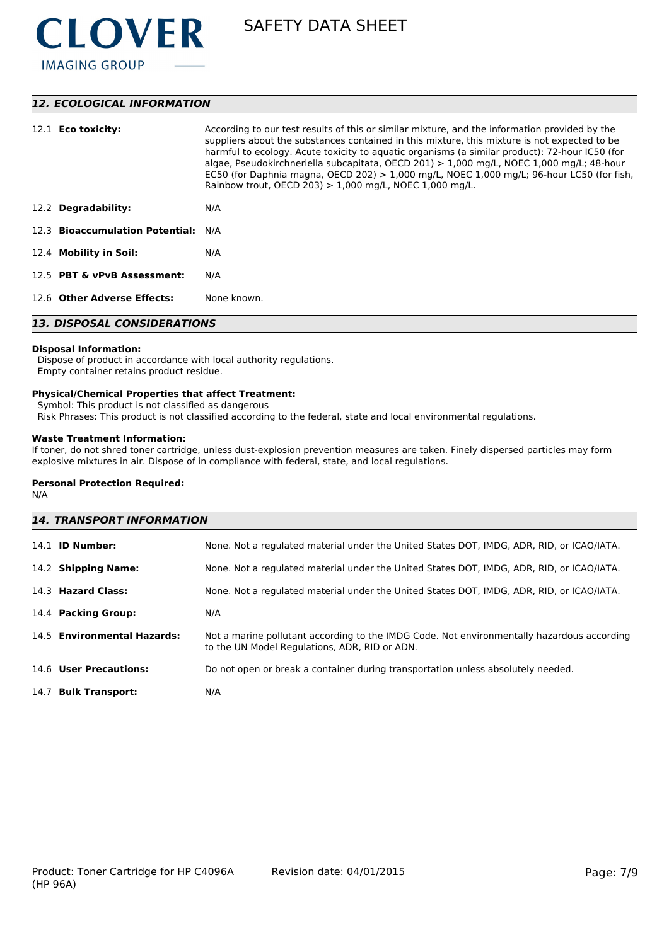

# *12. ECOLOGICAL INFORMATION*

| 12.1 <b>Eco toxicity:</b>           | According to our test results of this or similar mixture, and the information provided by the<br>suppliers about the substances contained in this mixture, this mixture is not expected to be<br>harmful to ecology. Acute toxicity to aquatic organisms (a similar product): 72-hour IC50 (for<br>algae, Pseudokirchneriella subcapitata, OECD 201) $> 1,000$ mg/L, NOEC 1,000 mg/L; 48-hour<br>EC50 (for Daphnia magna, OECD 202) $> 1,000$ mg/L, NOEC 1,000 mg/L; 96-hour LC50 (for fish,<br>Rainbow trout, OECD 203) $> 1,000$ mg/L, NOEC 1,000 mg/L. |  |
|-------------------------------------|-----------------------------------------------------------------------------------------------------------------------------------------------------------------------------------------------------------------------------------------------------------------------------------------------------------------------------------------------------------------------------------------------------------------------------------------------------------------------------------------------------------------------------------------------------------|--|
| 12.2 Degradability:                 | N/A                                                                                                                                                                                                                                                                                                                                                                                                                                                                                                                                                       |  |
| 12.3 Bioaccumulation Potential: N/A |                                                                                                                                                                                                                                                                                                                                                                                                                                                                                                                                                           |  |
| 12.4 Mobility in Soil:              | N/A                                                                                                                                                                                                                                                                                                                                                                                                                                                                                                                                                       |  |
| 12.5 PBT & vPvB Assessment:         | N/A                                                                                                                                                                                                                                                                                                                                                                                                                                                                                                                                                       |  |
| 12.6 Other Adverse Effects:         | None known.                                                                                                                                                                                                                                                                                                                                                                                                                                                                                                                                               |  |
| <b>13. DISPOSAL CONSIDERATIONS</b>  |                                                                                                                                                                                                                                                                                                                                                                                                                                                                                                                                                           |  |

#### **Disposal Information:**

 Dispose of product in accordance with local authority regulations. Empty container retains product residue.

## **Physical/Chemical Properties that affect Treatment:**

Symbol: This product is not classified as dangerous

Risk Phrases: This product is not classified according to the federal, state and local environmental regulations.

# **Waste Treatment Information:**

If toner, do not shred toner cartridge, unless dust-explosion prevention measures are taken. Finely dispersed particles may form explosive mixtures in air. Dispose of in compliance with federal, state, and local regulations.

#### **Personal Protection Required:**

N/A

| <b>14. TRANSPORT INFORMATION</b> |                                                                                                                                             |  |  |
|----------------------------------|---------------------------------------------------------------------------------------------------------------------------------------------|--|--|
| 14.1 <b>ID Number:</b>           | None. Not a regulated material under the United States DOT, IMDG, ADR, RID, or ICAO/IATA.                                                   |  |  |
| 14.2 Shipping Name:              | None. Not a regulated material under the United States DOT, IMDG, ADR, RID, or ICAO/IATA.                                                   |  |  |
| 14.3 Hazard Class:               | None. Not a regulated material under the United States DOT, IMDG, ADR, RID, or ICAO/IATA.                                                   |  |  |
| 14.4 Packing Group:              | N/A                                                                                                                                         |  |  |
| 14.5 Environmental Hazards:      | Not a marine pollutant according to the IMDG Code. Not environmentally hazardous according<br>to the UN Model Regulations, ADR, RID or ADN. |  |  |
| 14.6 User Precautions:           | Do not open or break a container during transportation unless absolutely needed.                                                            |  |  |
| 14.7 Bulk Transport:             | N/A                                                                                                                                         |  |  |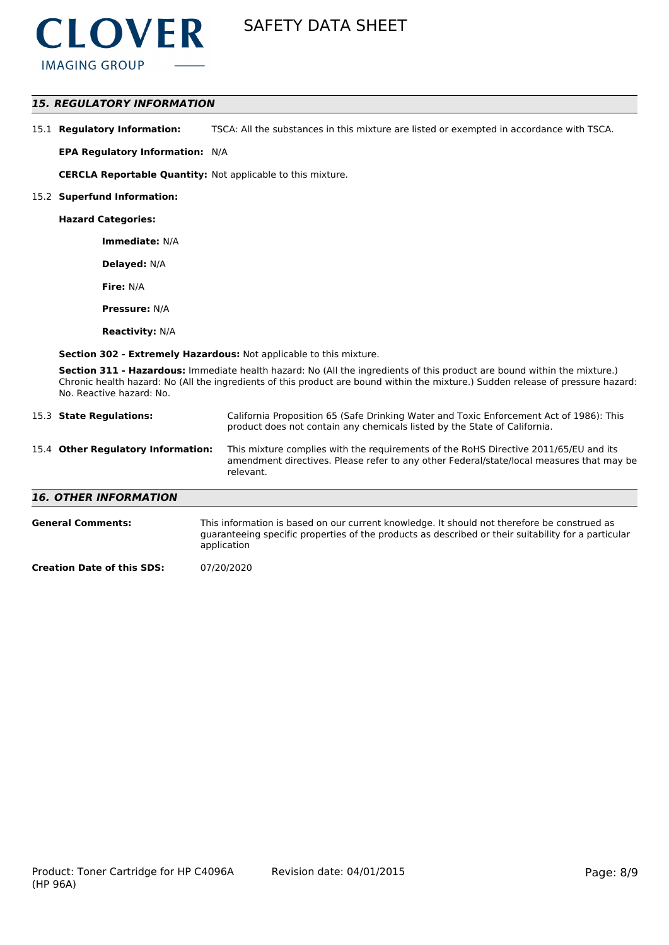

# *15. REGULATORY INFORMATION*

| 15.1 Regulatory Information: | TSCA: All the substances in this mixture are listed or exempted in accordance with TSCA. |
|------------------------------|------------------------------------------------------------------------------------------|
|------------------------------|------------------------------------------------------------------------------------------|

**EPA Regulatory Information:** N/A

**CERCLA Reportable Quantity:** Not applicable to this mixture.

#### 15.2 **Superfund Information:**

**Hazard Categories:**

**Immediate:** N/A

**Delayed:** N/A

**Fire:** N/A

**Pressure:** N/A

**Reactivity:** N/A

**Section 302 - Extremely Hazardous:** Not applicable to this mixture.

**Section 311 - Hazardous:** Immediate health hazard: No (All the ingredients of this product are bound within the mixture.) Chronic health hazard: No (All the ingredients of this product are bound within the mixture.) Sudden release of pressure hazard: No. Reactive hazard: No.

| 15.3 State Regulations:            | California Proposition 65 (Safe Drinking Water and Toxic Enforcement Act of 1986): This<br>product does not contain any chemicals listed by the State of California.                              |
|------------------------------------|---------------------------------------------------------------------------------------------------------------------------------------------------------------------------------------------------|
| 15.4 Other Regulatory Information: | This mixture complies with the requirements of the RoHS Directive 2011/65/EU and its<br>amendment directives. Please refer to any other Federal/state/local measures that may be<br>relevant.     |
| <b>16. OTHER INFORMATION</b>       |                                                                                                                                                                                                   |
| <b>General Comments:</b>           | This information is based on our current knowledge. It should not therefore be construed as<br>quarappoing specific proporting of the products as described or their suitability for a particular |

guaranteeing specific properties of the products as described or their suitability for a particular application

**Creation Date of this SDS:** 07/20/2020